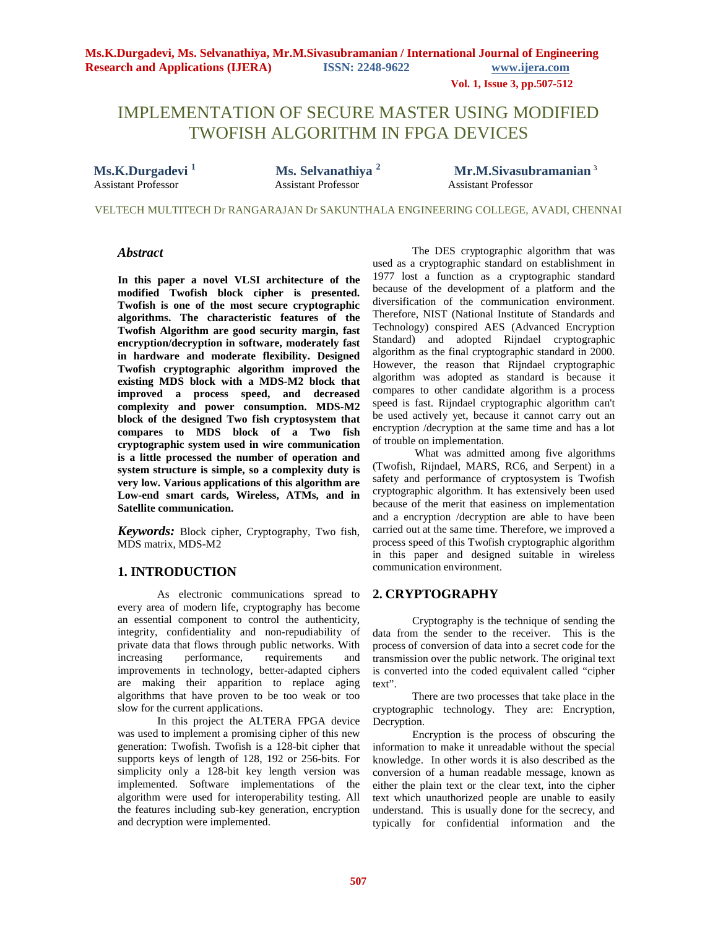**Vol. 1, Issue 3, pp.507-512**

# IMPLEMENTATION OF SECURE MASTER USING MODIFIED TWOFISH ALGORITHM IN FPGA DEVICES

Assistant Professor

**Ms.K.Durgadevi<sup>1</sup> <b>1 Ms. Selvanathiya**<sup>2</sup> **11 Mr.M.Sivasubramanian**<sup>3</sup><br>Assistant Professor **2** Assistant Professor **12** Assistant Professor

VELTECH MULTITECH Dr RANGARAJAN Dr SAKUNTHALA ENGINEERING COLLEGE, AVADI, CHENNAI

### *Abstract*

**In this paper a novel VLSI architecture of the modified Twofish block cipher is presented. Twofish is one of the most secure cryptographic algorithms. The characteristic features of the Twofish Algorithm are good security margin, fast encryption/decryption in software, moderately fast in hardware and moderate flexibility. Designed Twofish cryptographic algorithm improved the existing MDS block with a MDS-M2 block that improved a process speed, and decreased complexity and power consumption. MDS-M2 block of the designed Two fish cryptosystem that compares to MDS block of a Two fish cryptographic system used in wire communication is a little processed the number of operation and system structure is simple, so a complexity duty is very low. Various applications of this algorithm are Low-end smart cards, Wireless, ATMs, and in Satellite communication.**

*Keywords:* Block cipher, Cryptography, Two fish, MDS matrix, MDS-M2

### **1. INTRODUCTION**

As electronic communications spread to every area of modern life, cryptography has become an essential component to control the authenticity, integrity, confidentiality and non-repudiability of private data that flows through public networks. With increasing performance, requirements and increasing performance, requirements and improvements in technology, better-adapted ciphers are making their apparition to replace aging algorithms that have proven to be too weak or too slow for the current applications.

In this project the ALTERA FPGA device was used to implement a promising cipher of this new generation: Twofish. Twofish is a 128-bit cipher that supports keys of length of 128, 192 or 256-bits. For simplicity only a 128-bit key length version was implemented. Software implementations of the algorithm were used for interoperability testing. All the features including sub-key generation, encryption and decryption were implemented.

The DES cryptographic algorithm that was used as a cryptographic standard on establishment in 1977 lost a function as a cryptographic standard because of the development of a platform and the diversification of the communication environment. Therefore, NIST (National Institute of Standards and Technology) conspired AES (Advanced Encryption Standard) and adopted Rijndael cryptographic algorithm as the final cryptographic standard in 2000. However, the reason that Rijndael cryptographic algorithm was adopted as standard is because it compares to other candidate algorithm is a process speed is fast. Rijndael cryptographic algorithm can't be used actively yet, because it cannot carry out an encryption /decryption at the same time and has a lot of trouble on implementation.

What was admitted among five algorithms (Twofish, Rijndael, MARS, RC6, and Serpent) in a safety and performance of cryptosystem is Twofish cryptographic algorithm. It has extensively been used because of the merit that easiness on implementation and a encryption /decryption are able to have been carried out at the same time. Therefore, we improved a process speed of this Twofish cryptographic algorithm in this paper and designed suitable in wireless communication environment.

### **2. CRYPTOGRAPHY**

Cryptography is the technique of sending the data from the sender to the receiver. This is the process of conversion of data into a secret code for the transmission over the public network. The original text is converted into the coded equivalent called "cipher text".

There are two processes that take place in the cryptographic technology. They are: Encryption, Decryption.

Encryption is the process of obscuring the information to make it unreadable without the special knowledge. In other words it is also described as the conversion of a human readable message, known as either the plain text or the clear text, into the cipher text which unauthorized people are unable to easily understand. This is usually done for the secrecy, and typically for confidential information and the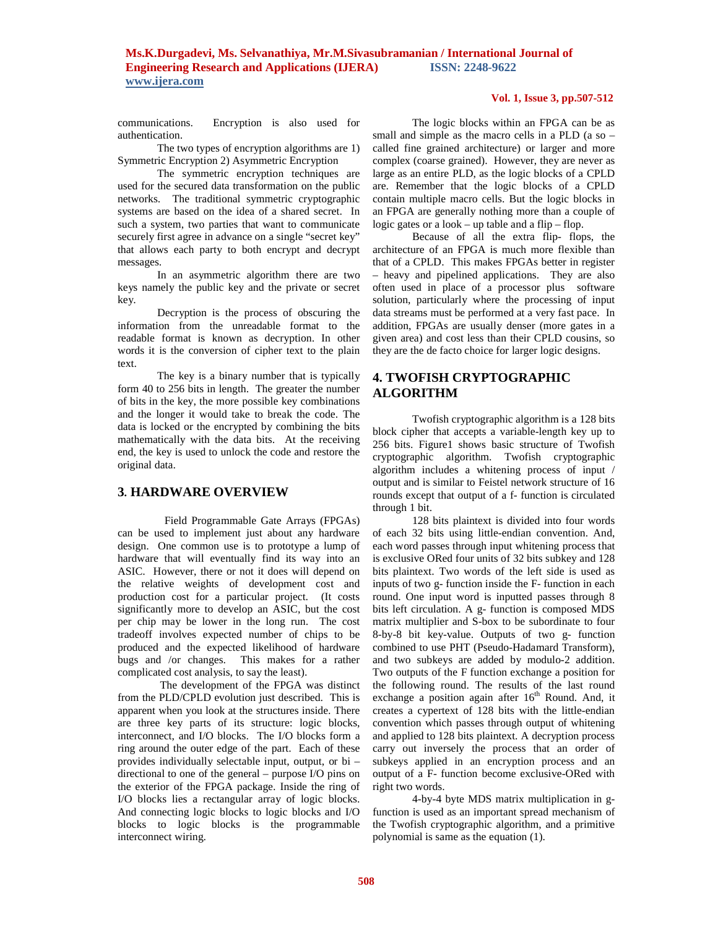# **Ms.K.Durgadevi, Ms. Selvanathiya, Mr.M.Sivasubramanian / International Journal of Engineering Research and Applications (IJERA) ISSN: 2248-9622 www.ijera.com**

communications. Encryption is also used for authentication.

The two types of encryption algorithms are 1) Symmetric Encryption 2) Asymmetric Encryption

The symmetric encryption techniques are used for the secured data transformation on the public networks. The traditional symmetric cryptographic systems are based on the idea of a shared secret. In such a system, two parties that want to communicate securely first agree in advance on a single "secret key" that allows each party to both encrypt and decrypt messages.

In an asymmetric algorithm there are two keys namely the public key and the private or secret key.

Decryption is the process of obscuring the information from the unreadable format to the readable format is known as decryption. In other words it is the conversion of cipher text to the plain text.

The key is a binary number that is typically form 40 to 256 bits in length. The greater the number of bits in the key, the more possible key combinations and the longer it would take to break the code. The data is locked or the encrypted by combining the bits mathematically with the data bits. At the receiving end, the key is used to unlock the code and restore the original data.

### **3. HARDWARE OVERVIEW**

 Field Programmable Gate Arrays (FPGAs) can be used to implement just about any hardware design. One common use is to prototype a lump of hardware that will eventually find its way into an ASIC. However, there or not it does will depend on the relative weights of development cost and production cost for a particular project. (It costs significantly more to develop an ASIC, but the cost per chip may be lower in the long run. The cost tradeoff involves expected number of chips to be produced and the expected likelihood of hardware bugs and /or changes. This makes for a rather complicated cost analysis, to say the least).

The development of the FPGA was distinct from the PLD/CPLD evolution just described. This is apparent when you look at the structures inside. There are three key parts of its structure: logic blocks, interconnect, and I/O blocks. The I/O blocks form a ring around the outer edge of the part. Each of these provides individually selectable input, output, or bi – directional to one of the general – purpose I/O pins on the exterior of the FPGA package. Inside the ring of I/O blocks lies a rectangular array of logic blocks. And connecting logic blocks to logic blocks and I/O blocks to logic blocks is the programmable interconnect wiring.

#### **Vol. 1, Issue 3, pp.507-512**

The logic blocks within an FPGA can be as small and simple as the macro cells in a PLD (a so – called fine grained architecture) or larger and more complex (coarse grained). However, they are never as large as an entire PLD, as the logic blocks of a CPLD are. Remember that the logic blocks of a CPLD contain multiple macro cells. But the logic blocks in an FPGA are generally nothing more than a couple of logic gates or a look – up table and a flip – flop.

Because of all the extra flip- flops, the architecture of an FPGA is much more flexible than that of a CPLD. This makes FPGAs better in register – heavy and pipelined applications. They are also often used in place of a processor plus software solution, particularly where the processing of input data streams must be performed at a very fast pace. In addition, FPGAs are usually denser (more gates in a given area) and cost less than their CPLD cousins, so they are the de facto choice for larger logic designs.

# **4. TWOFISH CRYPTOGRAPHIC ALGORITHM**

Twofish cryptographic algorithm is a 128 bits block cipher that accepts a variable-length key up to 256 bits. Figure1 shows basic structure of Twofish cryptographic algorithm. Twofish cryptographic algorithm includes a whitening process of input / output and is similar to Feistel network structure of 16 rounds except that output of a f- function is circulated through 1 bit.

128 bits plaintext is divided into four words of each 32 bits using little-endian convention. And, each word passes through input whitening process that is exclusive ORed four units of 32 bits subkey and 128 bits plaintext. Two words of the left side is used as inputs of two g- function inside the F- function in each round. One input word is inputted passes through 8 bits left circulation. A g- function is composed MDS matrix multiplier and S-box to be subordinate to four 8-by-8 bit key-value. Outputs of two g- function combined to use PHT (Pseudo-Hadamard Transform), and two subkeys are added by modulo-2 addition. Two outputs of the F function exchange a position for the following round. The results of the last round exchange a position again after  $16<sup>th</sup>$  Round. And, it creates a cypertext of 128 bits with the little-endian convention which passes through output of whitening and applied to 128 bits plaintext. A decryption process carry out inversely the process that an order of subkeys applied in an encryption process and an output of a F- function become exclusive-ORed with right two words.

4-by-4 byte MDS matrix multiplication in gfunction is used as an important spread mechanism of the Twofish cryptographic algorithm, and a primitive polynomial is same as the equation (1).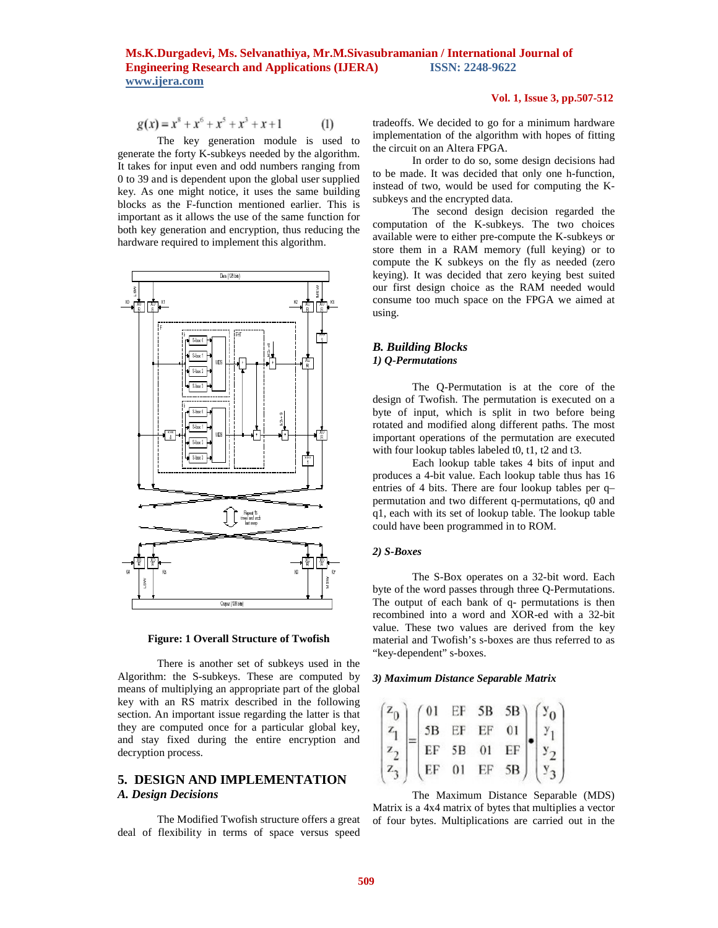$$
g(x) = x8 + x6 + x5 + x3 + x + 1
$$
 (1)

The key generation module is used to generate the forty K-subkeys needed by the algorithm. It takes for input even and odd numbers ranging from 0 to 39 and is dependent upon the global user supplied key. As one might notice, it uses the same building blocks as the F-function mentioned earlier. This is important as it allows the use of the same function for both key generation and encryption, thus reducing the hardware required to implement this algorithm.





There is another set of subkeys used in the Algorithm: the S-subkeys. These are computed by means of multiplying an appropriate part of the global key with an RS matrix described in the following section. An important issue regarding the latter is that they are computed once for a particular global key, and stay fixed during the entire encryption and decryption process.

# **5. DESIGN AND IMPLEMENTATION** *A. Design Decisions*

The Modified Twofish structure offers a great deal of flexibility in terms of space versus speed

#### **Vol. 1, Issue 3, pp.507-512**

tradeoffs. We decided to go for a minimum hardware implementation of the algorithm with hopes of fitting the circuit on an Altera FPGA.

In order to do so, some design decisions had to be made. It was decided that only one h-function, instead of two, would be used for computing the Ksubkeys and the encrypted data.

The second design decision regarded the computation of the K-subkeys. The two choices available were to either pre-compute the K-subkeys or store them in a RAM memory (full keying) or to compute the K subkeys on the fly as needed (zero keying). It was decided that zero keying best suited our first design choice as the RAM needed would consume too much space on the FPGA we aimed at using.

### *B. Building Blocks 1) Q-Permutations*

The Q-Permutation is at the core of the design of Twofish. The permutation is executed on a byte of input, which is split in two before being rotated and modified along different paths. The most important operations of the permutation are executed with four lookup tables labeled t0, t1, t2 and t3.

Each lookup table takes 4 bits of input and produces a 4-bit value. Each lookup table thus has 16 entries of 4 bits. There are four lookup tables per q– permutation and two different q-permutations, q0 and q1, each with its set of lookup table. The lookup table could have been programmed in to ROM.

#### *2) S-Boxes*

The S-Box operates on a 32-bit word. Each byte of the word passes through three Q-Permutations. The output of each bank of q- permutations is then recombined into a word and XOR-ed with a 32-bit value. These two values are derived from the key material and Twofish's s-boxes are thus referred to as "key-dependent" s-boxes.

#### *3) Maximum Distance Separable Matrix*

|  |  | $\begin{pmatrix} z_0 \\ z_1 \\ z_2 \\ z_3 \end{pmatrix} = \begin{pmatrix} 01 & EF & SB & SB \\ SB & EF & EF & 01 \\ EF & SB & 01 & EF \\ EF & 01 & EF & SB \end{pmatrix} \cdot \begin{pmatrix} y_0 \\ y_1 \\ y_2 \\ y_3 \end{pmatrix}$ |
|--|--|----------------------------------------------------------------------------------------------------------------------------------------------------------------------------------------------------------------------------------------|
|  |  |                                                                                                                                                                                                                                        |
|  |  |                                                                                                                                                                                                                                        |

The Maximum Distance Separable (MDS) Matrix is a 4x4 matrix of bytes that multiplies a vector of four bytes. Multiplications are carried out in the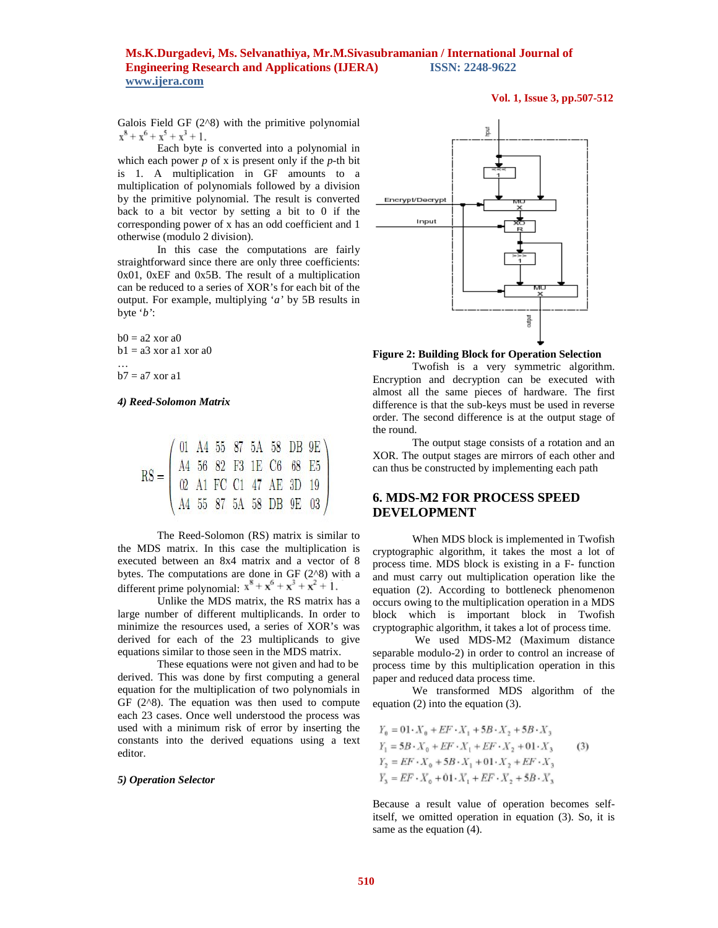# **Ms.K.Durgadevi, Ms. Selvanathiya, Mr.M.Sivasubramanian / International Journal of Engineering Research and Applications (IJERA) ISSN: 2248-9622 www.ijera.com**

#### **Vol. 1, Issue 3, pp.507-512**

Galois Field GF (2^8) with the primitive polynomial  $x^8 + x^6 + x^5 + x^3 + 1$ .

Each byte is converted into a polynomial in which each power  $p$  of x is present only if the  $p$ -th bit is 1. A multiplication in GF amounts to a multiplication of polynomials followed by a division by the primitive polynomial. The result is converted back to a bit vector by setting a bit to 0 if the corresponding power of x has an odd coefficient and 1 otherwise (modulo 2 division).

In this case the computations are fairly straightforward since there are only three coefficients: 0x01, 0xEF and 0x5B. The result of a multiplication can be reduced to a series of XOR's for each bit of the output. For example, multiplying '*a'* by 5B results in byte '*b'*:

 $b0 = a2$  xor  $a0$  $b1 = a3$  xor a1 xor a0

 $b7 = a7$  xor a1

…

#### *4) Reed-Solomon Matrix*

$$
RS = \left(\begin{array}{cccc} 01 & A4 & 55 & 87 & 5A & 58 & DB & 9E \\ A4 & 56 & 82 & F3 & 1E & C6 & 68 & E5 \\ 02 & A1 & FC & C1 & 47 & AE & 3D & 19 \\ A4 & 55 & 87 & 5A & 58 & DB & 9E & 03 \end{array}\right)
$$

The Reed-Solomon (RS) matrix is similar to the MDS matrix. In this case the multiplication is executed between an 8x4 matrix and a vector of 8 bytes. The computations are done in GF  $(2^{\wedge}8)$  with a different prime polynomial:  $x^8 + x^6 + x^3 + x^2 + 1$ .

Unlike the MDS matrix, the RS matrix has a large number of different multiplicands. In order to minimize the resources used, a series of XOR's was derived for each of the 23 multiplicands to give equations similar to those seen in the MDS matrix.

These equations were not given and had to be derived. This was done by first computing a general equation for the multiplication of two polynomials in GF  $(2^8)$ . The equation was then used to compute each 23 cases. Once well understood the process was used with a minimum risk of error by inserting the constants into the derived equations using a text editor.

#### *5) Operation Selector*



**Figure 2: Building Block for Operation Selection**

Twofish is a very symmetric algorithm. Encryption and decryption can be executed with almost all the same pieces of hardware. The first difference is that the sub-keys must be used in reverse order. The second difference is at the output stage of the round.

The output stage consists of a rotation and an XOR. The output stages are mirrors of each other and can thus be constructed by implementing each path

# **6. MDS-M2 FOR PROCESS SPEED DEVELOPMENT**

When MDS block is implemented in Twofish cryptographic algorithm, it takes the most a lot of process time. MDS block is existing in a F- function and must carry out multiplication operation like the equation (2). According to bottleneck phenomenon occurs owing to the multiplication operation in a MDS block which is important block in Twofish cryptographic algorithm, it takes a lot of process time.

We used MDS-M2 (Maximum distance separable modulo-2) in order to control an increase of process time by this multiplication operation in this paper and reduced data process time.

We transformed MDS algorithm of the equation (2) into the equation (3).

$$
Y_0 = 01 \cdot X_0 + EF \cdot X_1 + 5B \cdot X_2 + 5B \cdot X_3
$$
  
\n
$$
Y_1 = 5B \cdot X_0 + EF \cdot X_1 + EF \cdot X_2 + 01 \cdot X_3
$$
  
\n
$$
Y_2 = EF \cdot X_0 + 5B \cdot X_1 + 01 \cdot X_2 + EF \cdot X_3
$$
  
\n
$$
Y_3 = EF \cdot X_0 + 01 \cdot X_1 + EF \cdot X_2 + 5B \cdot X_3
$$

Because a result value of operation becomes selfitself, we omitted operation in equation (3). So, it is same as the equation (4).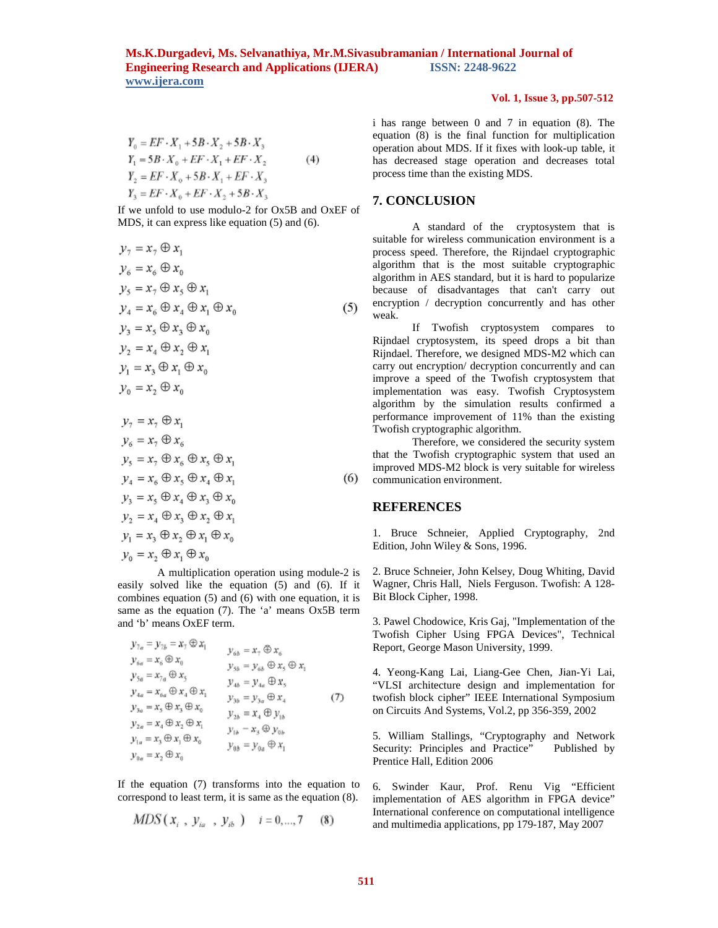$$
Y_0 = EF \cdot X_1 + 5B \cdot X_2 + 5B \cdot X_3
$$
  
\n
$$
Y_1 = 5B \cdot X_0 + EF \cdot X_1 + EF \cdot X_2
$$
  
\n
$$
Y_2 = EF \cdot X_0 + 5B \cdot X_1 + EF \cdot X_3
$$
  
\n
$$
Y_3 = EF \cdot X_0 + EF \cdot X_2 + 5B \cdot X_3
$$
  
\n(4)

If we unfold to use modulo-2 for Ox5B and OxEF of MDS, it can express like equation (5) and (6).

$$
y_7 = x_7 \oplus x_1
$$
  
\n
$$
y_6 = x_6 \oplus x_0
$$
  
\n
$$
y_5 = x_7 \oplus x_5 \oplus x_1
$$
  
\n
$$
y_4 = x_6 \oplus x_4 \oplus x_1 \oplus x_0
$$
  
\n
$$
y_3 = x_5 \oplus x_3 \oplus x_0
$$
  
\n
$$
y_2 = x_4 \oplus x_2 \oplus x_1
$$
  
\n
$$
y_1 = x_3 \oplus x_1 \oplus x_0
$$
  
\n
$$
y_0 = x_2 \oplus x_0
$$
  
\n
$$
y_7 = x_7 \oplus x_1
$$
  
\n
$$
y_6 = x_7 \oplus x_6
$$
  
\n
$$
y_5 = x_7 \oplus x_6 \oplus x_5 \oplus x_1
$$
  
\n
$$
y_4 = x_6 \oplus x_5 \oplus x_4 \oplus x_1
$$
  
\n
$$
y_3 = x_5 \oplus x_4 \oplus x_3 \oplus x_0
$$
  
\n
$$
y_2 = x_4 \oplus x_3 \oplus x_2 \oplus x_1
$$
  
\n
$$
y_1 = x_3 \oplus x_2 \oplus x_1 \oplus x_0
$$
  
\n
$$
y_0 = x_2 \oplus x_1 \oplus x_0
$$

A multiplication operation using module-2 is easily solved like the equation (5) and (6). If it combines equation (5) and (6) with one equation, it is same as the equation (7). The 'a' means Ox5B term and 'b' means OxEF term.

$$
y_{7a} = y_{7b} = x_7 \oplus x_1
$$
  
\n
$$
y_{6a} = x_6 \oplus x_0
$$
  
\n
$$
y_{5a} = x_{7a} \oplus x_5
$$
  
\n
$$
y_{5a} = x_{7a} \oplus x_5
$$
  
\n
$$
y_{4a} = x_{6a} \oplus x_4 \oplus x_1
$$
  
\n
$$
y_{3b} = y_{6b} \oplus x_5 \oplus x_1
$$
  
\n
$$
y_{4b} = y_{4a} \oplus x_5
$$
  
\n
$$
y_{4b} = y_{4a} \oplus x_5
$$
  
\n
$$
y_{3b} = y_{5a} \oplus x_4
$$
  
\n
$$
y_{3b} = y_{5a} \oplus x_4
$$
  
\n
$$
y_{3b} = y_{5a} \oplus x_4
$$
  
\n
$$
y_{3b} = y_{5a} \oplus x_4
$$
  
\n
$$
y_{3b} = x_5 \oplus x_4
$$
  
\n
$$
y_{3b} = y_{5a} \oplus x_4
$$
  
\n
$$
y_{3b} = x_3 \oplus x_1
$$
  
\n
$$
y_{3b} = y_{5a} \oplus x_4
$$
  
\n
$$
y_{3b} = y_{5a} \oplus x_4
$$
  
\n
$$
y_{3b} = y_{5a} \oplus x_4
$$
  
\n
$$
y_{6b} = y_{6a} \oplus x_1
$$

If the equation (7) transforms into the equation to correspond to least term, it is same as the equation (8).

$$
MDS(x_i, y_{ia}, y_{ib}) \quad i = 0, ..., 7 \quad (8)
$$

### **Vol. 1, Issue 3, pp.507-512**

i has range between 0 and 7 in equation (8). The equation (8) is the final function for multiplication operation about MDS. If it fixes with look-up table, it has decreased stage operation and decreases total process time than the existing MDS.

# **7. CONCLUSION**

A standard of the cryptosystem that is suitable for wireless communication environment is a process speed. Therefore, the Rijndael cryptographic algorithm that is the most suitable cryptographic algorithm in AES standard, but it is hard to popularize because of disadvantages that can't carry out encryption / decryption concurrently and has other weak.

If Twofish cryptosystem compares to Rijndael cryptosystem, its speed drops a bit than Rijndael. Therefore, we designed MDS-M2 which can carry out encryption/ decryption concurrently and can improve a speed of the Twofish cryptosystem that implementation was easy. Twofish Cryptosystem algorithm by the simulation results confirmed a performance improvement of 11% than the existing Twofish cryptographic algorithm.

Therefore, we considered the security system that the Twofish cryptographic system that used an improved MDS-M2 block is very suitable for wireless communication environment.

### **REFERENCES**

1. Bruce Schneier, Applied Cryptography, 2nd Edition, John Wiley & Sons, 1996.

2. Bruce Schneier, John Kelsey, Doug Whiting, David Wagner, Chris Hall, Niels Ferguson. Twofish: A 128- Bit Block Cipher, 1998.

3. Pawel Chodowice, Kris Gaj, "Implementation of the Twofish Cipher Using FPGA Devices", Technical Report, George Mason University, 1999.

4. Yeong-Kang Lai, Liang-Gee Chen, Jian-Yi Lai, "VLSI architecture design and implementation for twofish block cipher" IEEE International Symposium on Circuits And Systems, Vol.2, pp 356-359, 2002

5. William Stallings, "Cryptography and Network Security: Principles and Practice" Published by Prentice Hall, Edition 2006

6. Swinder Kaur, Prof. Renu Vig "Efficient implementation of AES algorithm in FPGA device" International conference on computational intelligence and multimedia applications, pp 179-187, May 2007